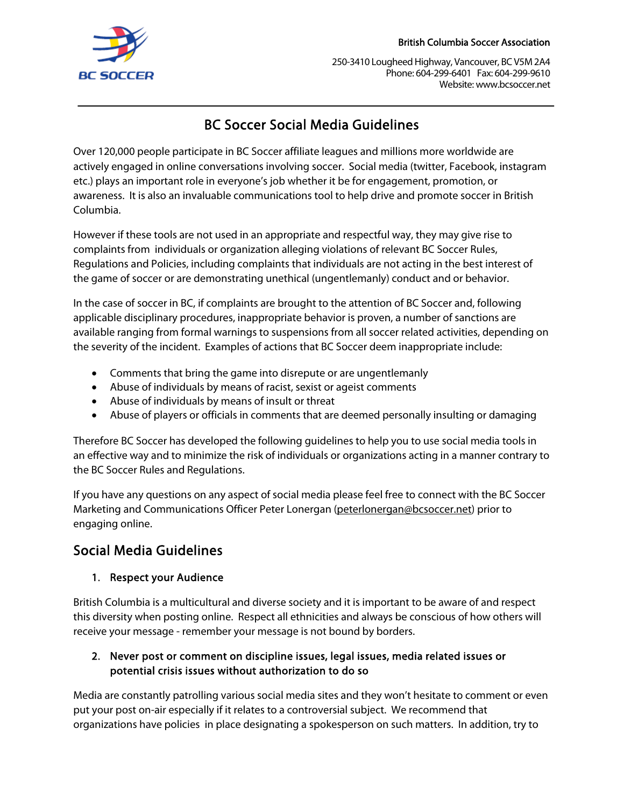

250-3410 Lougheed Highway, Vancouver, BC V5M 2A4 Phone: 604-299-6401 Fax: 604-299-9610 Website: www.bcsoccer.net

# BC Soccer Social Media Guidelines

Over 120,000 people participate in BC Soccer affiliate leagues and millions more worldwide are actively engaged in online conversations involving soccer. Social media (twitter, Facebook, instagram etc.) plays an important role in everyone's job whether it be for engagement, promotion, or awareness. It is also an invaluable communications tool to help drive and promote soccer in British Columbia.

However if these tools are not used in an appropriate and respectful way, they may give rise to complaints from individuals or organization alleging violations of relevant BC Soccer Rules, Regulations and Policies, including complaints that individuals are not acting in the best interest of the game of soccer or are demonstrating unethical (ungentlemanly) conduct and or behavior.

In the case of soccer in BC, if complaints are brought to the attention of BC Soccer and, following applicable disciplinary procedures, inappropriate behavior is proven, a number of sanctions are available ranging from formal warnings to suspensions from all soccer related activities, depending on the severity of the incident. Examples of actions that BC Soccer deem inappropriate include:

- Comments that bring the game into disrepute or are ungentlemanly
- Abuse of individuals by means of racist, sexist or ageist comments
- Abuse of individuals by means of insult or threat
- Abuse of players or officials in comments that are deemed personally insulting or damaging

Therefore BC Soccer has developed the following guidelines to help you to use social media tools in an effective way and to minimize the risk of individuals or organizations acting in a manner contrary to the BC Soccer Rules and Regulations.

If you have any questions on any aspect of social media please feel free to connect with the BC Soccer Marketing and Communications Officer Peter Lonergan (peterlonergan@bcsoccer.net) prior to engaging online.

## Social Media Guidelines

### 1. Respect your Audience

British Columbia is a multicultural and diverse society and it is important to be aware of and respect this diversity when posting online. Respect all ethnicities and always be conscious of how others will receive your message - remember your message is not bound by borders.

#### 2. Never post or comment on discipline issues, legal issues, media related issues or potential crisis issues without authorization to do so

Media are constantly patrolling various social media sites and they won't hesitate to comment or even put your post on-air especially if it relates to a controversial subject. We recommend that organizations have policies in place designating a spokesperson on such matters. In addition, try to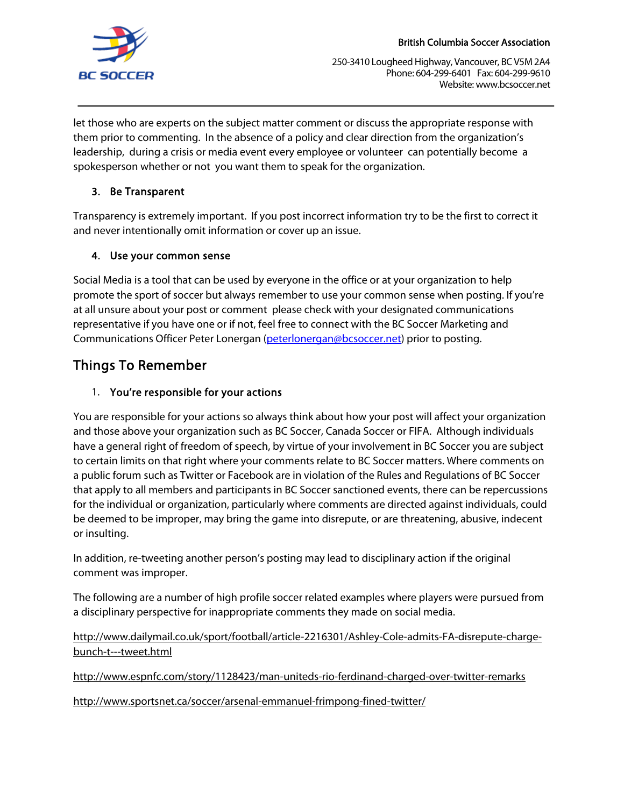

250-3410 Lougheed Highway, Vancouver, BC V5M 2A4 Phone: 604-299-6401 Fax: 604-299-9610 Website: www.bcsoccer.net

let those who are experts on the subject matter comment or discuss the appropriate response with them prior to commenting. In the absence of a policy and clear direction from the organization's leadership, during a crisis or media event every employee or volunteer can potentially become a spokesperson whether or not you want them to speak for the organization.

#### 3. Be Transparent

Transparency is extremely important. If you post incorrect information try to be the first to correct it and never intentionally omit information or cover up an issue.

### 4. Use your common sense

Social Media is a tool that can be used by everyone in the office or at your organization to help promote the sport of soccer but always remember to use your common sense when posting. If you're at all unsure about your post or comment please check with your designated communications representative if you have one or if not, feel free to connect with the BC Soccer Marketing and Communications Officer Peter Lonergan (peterlonergan@bcsoccer.net) prior to posting.

## Things To Remember

### 1. You're responsible for your actions

You are responsible for your actions so always think about how your post will affect your organization and those above your organization such as BC Soccer, Canada Soccer or FIFA. Although individuals have a general right of freedom of speech, by virtue of your involvement in BC Soccer you are subject to certain limits on that right where your comments relate to BC Soccer matters. Where comments on a public forum such as Twitter or Facebook are in violation of the Rules and Regulations of BC Soccer that apply to all members and participants in BC Soccer sanctioned events, there can be repercussions for the individual or organization, particularly where comments are directed against individuals, could be deemed to be improper, may bring the game into disrepute, or are threatening, abusive, indecent or insulting.

In addition, re-tweeting another person's posting may lead to disciplinary action if the original comment was improper.

The following are a number of high profile soccer related examples where players were pursued from a disciplinary perspective for inappropriate comments they made on social media.

http://www.dailymail.co.uk/sport/football/article-2216301/Ashley-Cole-admits-FA-disrepute-chargebunch-t---tweet.html

http://www.espnfc.com/story/1128423/man-uniteds-rio-ferdinand-charged-over-twitter-remarks

http://www.sportsnet.ca/soccer/arsenal-emmanuel-frimpong-fined-twitter/